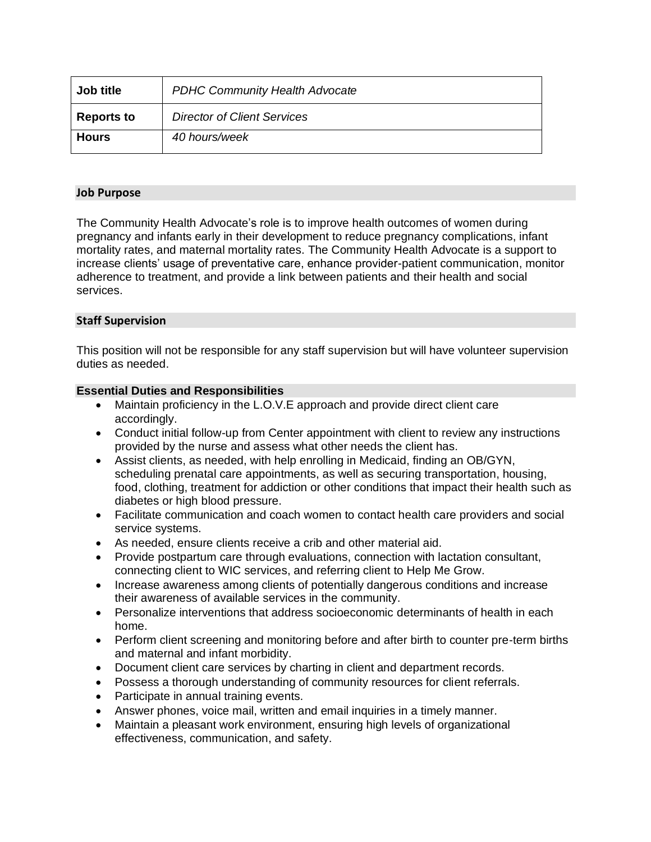| Job title         | <b>PDHC Community Health Advocate</b> |
|-------------------|---------------------------------------|
| <b>Reports to</b> | <b>Director of Client Services</b>    |
| <b>Hours</b>      | 40 hours/week                         |

# **Job Purpose**

The Community Health Advocate's role is to improve health outcomes of women during pregnancy and infants early in their development to reduce pregnancy complications, infant mortality rates, and maternal mortality rates. The Community Health Advocate is a support to increase clients' usage of preventative care, enhance provider-patient communication, monitor adherence to treatment, and provide a link between patients and their health and social services.

## **Staff Supervision**

This position will not be responsible for any staff supervision but will have volunteer supervision duties as needed.

## **Essential Duties and Responsibilities**

- Maintain proficiency in the L.O.V.E approach and provide direct client care accordingly.
- Conduct initial follow-up from Center appointment with client to review any instructions provided by the nurse and assess what other needs the client has.
- Assist clients, as needed, with help enrolling in Medicaid, finding an OB/GYN, scheduling prenatal care appointments, as well as securing transportation, housing, food, clothing, treatment for addiction or other conditions that impact their health such as diabetes or high blood pressure.
- Facilitate communication and coach women to contact health care providers and social service systems.
- As needed, ensure clients receive a crib and other material aid.
- Provide postpartum care through evaluations, connection with lactation consultant, connecting client to WIC services, and referring client to Help Me Grow.
- Increase awareness among clients of potentially dangerous conditions and increase their awareness of available services in the community.
- Personalize interventions that address socioeconomic determinants of health in each home.
- Perform client screening and monitoring before and after birth to counter pre-term births and maternal and infant morbidity.
- Document client care services by charting in client and department records.
- Possess a thorough understanding of community resources for client referrals.
- Participate in annual training events.
- Answer phones, voice mail, written and email inquiries in a timely manner.
- Maintain a pleasant work environment, ensuring high levels of organizational effectiveness, communication, and safety.